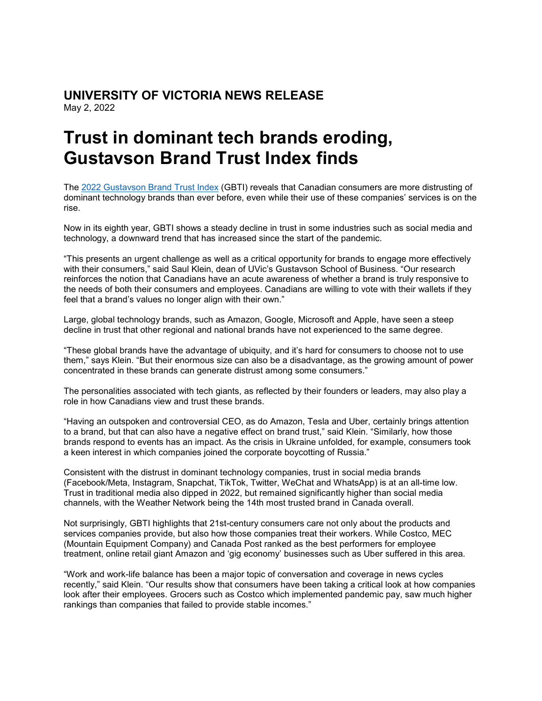# **UNIVERSITY OF VICTORIA NEWS RELEASE** May 2, 2022

# **Trust in dominant tech brands eroding, Gustavson Brand Trust Index finds**

The [2022 Gustavson Brand Trust Index](https://www.uvic.ca/gustavson/brandtrust/assets/docs/final--gbti-2022-main-report.pdf) (GBTI) reveals that Canadian consumers are more distrusting of dominant technology brands than ever before, even while their use of these companies' services is on the rise.

Now in its eighth year, GBTI shows a steady decline in trust in some industries such as social media and technology, a downward trend that has increased since the start of the pandemic.

"This presents an urgent challenge as well as a critical opportunity for brands to engage more effectively with their consumers," said Saul Klein, dean of UVic's Gustavson School of Business. "Our research reinforces the notion that Canadians have an acute awareness of whether a brand is truly responsive to the needs of both their consumers and employees. Canadians are willing to vote with their wallets if they feel that a brand's values no longer align with their own."

Large, global technology brands, such as Amazon, Google, Microsoft and Apple, have seen a steep decline in trust that other regional and national brands have not experienced to the same degree.

"These global brands have the advantage of ubiquity, and it's hard for consumers to choose not to use them," says Klein. "But their enormous size can also be a disadvantage, as the growing amount of power concentrated in these brands can generate distrust among some consumers."

The personalities associated with tech giants, as reflected by their founders or leaders, may also play a role in how Canadians view and trust these brands.

"Having an outspoken and controversial CEO, as do Amazon, Tesla and Uber, certainly brings attention to a brand, but that can also have a negative effect on brand trust," said Klein. "Similarly, how those brands respond to events has an impact. As the crisis in Ukraine unfolded, for example, consumers took a keen interest in which companies joined the corporate boycotting of Russia."

Consistent with the distrust in dominant technology companies, trust in social media brands (Facebook/Meta, Instagram, Snapchat, TikTok, Twitter, WeChat and WhatsApp) is at an all-time low. Trust in traditional media also dipped in 2022, but remained significantly higher than social media channels, with the Weather Network being the 14th most trusted brand in Canada overall.

Not surprisingly, GBTI highlights that 21st-century consumers care not only about the products and services companies provide, but also how those companies treat their workers. While Costco, MEC (Mountain Equipment Company) and Canada Post ranked as the best performers for employee treatment, online retail giant Amazon and 'gig economy' businesses such as Uber suffered in this area.

"Work and work-life balance has been a major topic of conversation and coverage in news cycles recently," said Klein. "Our results show that consumers have been taking a critical look at how companies look after their employees. Grocers such as Costco which implemented pandemic pay, saw much higher rankings than companies that failed to provide stable incomes."